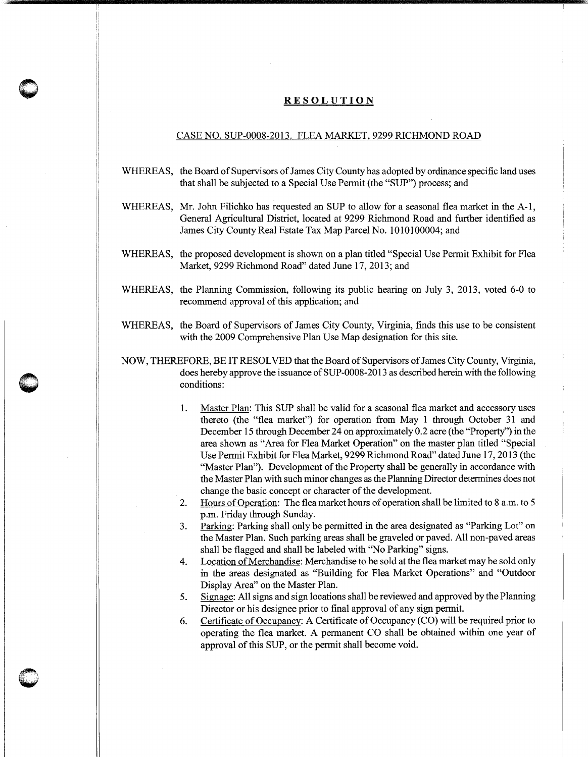## **RESOLUTION**

**0** 

I

## CASE NO. SUP-0008-2013. FLEA MARKET, 9299 RICHMOND ROAD

- WHEREAS, the Board of Supervisors of James City County has adopted by ordinance specific land uses that shall be subjected to a Special Use Permit (the "SUP") process; and
- WHEREAS, Mr. John Filichko has requested an SUP to allow for a seasonal flea market in the A-1, General Agricultural District, located at 9299 Richmond Road and further identified as James City County Real Estate Tax Map Parcel No. 1010100004; and
- WHEREAS, the proposed development is shown on a plan titled "Special Use Permit Exhibit for Flea Market, 9299 Richmond Road" dated June 17, 2013; and
- WHEREAS, the Planning Commission, following its public hearing on July 3, 2013, voted 6-0 to recommend approval of this application; and
- WHEREAS, the Board of Supervisors of James City County, Virginia, finds this use to be consistent with the 2009 Comprehensive Plan Use Map designation for this site.
- NOW, THEREFORE, BE IT RESOLVED that the Board of Supervisors of James City County, Virginia, does hereby approve the issuance of SUP-0008-2013 as described herein with the following conditions:
	- 1. Master Plan: This SUP shall be valid for a seasonal flea market and accessory uses thereto (the "flea market") for operation from May 1 through October 31 and December 15 through December 24 on approximately 0.2 acre (the "Property") in the area shown as "Area for Flea Market Operation" on the master plan titled "Special Use Permit Exhibit for Flea Market, 9299 Richmond Road" dated June 17, 2013 (the "Master Plan"). Development of the Property shall be generally in accordance with the Master Plan with such minor changes as the Planning Director determines does not change the basic concept or character of the development.
	- 2. Hours of Operation: The flea market hours of operation shall be limited to 8 a.m. to 5 p.m. Friday through Sunday.
	- 3. Parking: Parking shall only be permitted in the area designated as "Parking Lot" on the Master Plan. Such parking areas shall be graveled or paved. All non-paved areas shall be flagged and shall be labeled with "No Parking" signs.
	- 4. Location of Merchandise: Merchandise to be sold at the flea market may be sold only in the areas designated as "Building for Flea Market Operations" and "Outdoor Display Area" on the Master Plan.
	- 5. Signage: All signs and sign locations shall be reviewed and approved by the Planning Director or his designee prior to final approval of any sign permit.
	- 6. Certificate of Occupancy: A Certificate of Occupancy (CO) will be required prior to operating the flea market. A permanent CO shall be obtained within one year of approval of this SUP, or the permit shall become void.